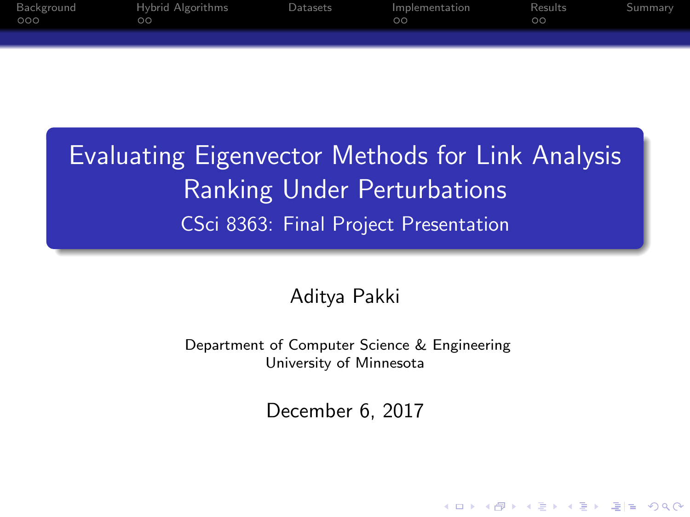| Background<br>000 | Hybrid Algorithms<br>OO. | Datasets | Implementation<br>ററ | Results<br>ററ | Summary |
|-------------------|--------------------------|----------|----------------------|---------------|---------|
|                   |                          |          |                      |               |         |

Evaluating Eigenvector Methods for Link Analysis Ranking Under Perturbations CSci 8363: Final Project Presentation

Aditya Pakki

Department of Computer Science & Engineering University of Minnesota

December 6, 2017

KOD KARD KED KED EN MAG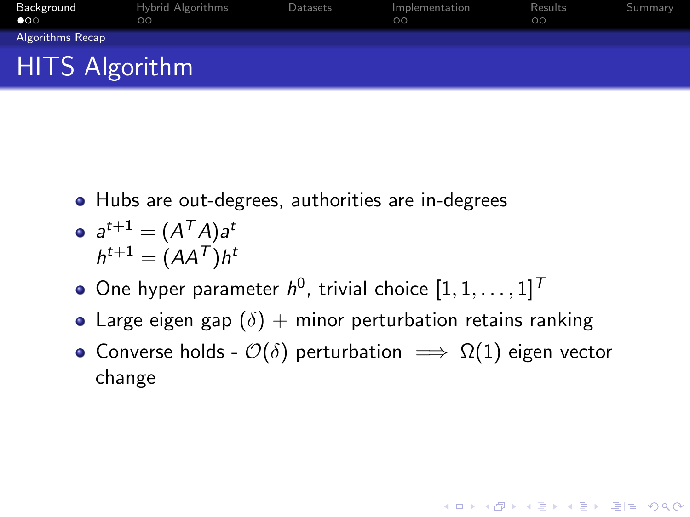<span id="page-1-0"></span>

| Background<br>$\bullet$ | Hybrid Algorithms<br>$\circ$ | Datasets | Implementation<br>$\circ$ | Results<br>$\circ$ | Summary |  |  |  |
|-------------------------|------------------------------|----------|---------------------------|--------------------|---------|--|--|--|
| <b>Algorithms Recap</b> |                              |          |                           |                    |         |  |  |  |
| <b>HITS Algorithm</b>   |                              |          |                           |                    |         |  |  |  |

Hubs are out-degrees, authorities are in-degrees

$$
a^{t+1} = (A^T A) a^t
$$

$$
h^{t+1} = (A A^T) h^t
$$

- One hyper parameter  $h^0$ , trivial choice  $[1, 1, \ldots, 1]^T$
- Large eigen gap  $(\delta)$  + minor perturbation retains ranking
- Converse holds  $\mathcal{O}(\delta)$  perturbation  $\implies \Omega(1)$  eigen vector change

K ロ ▶ K @ ▶ K 할 K K 할 K (할)의 할 수 있습니다.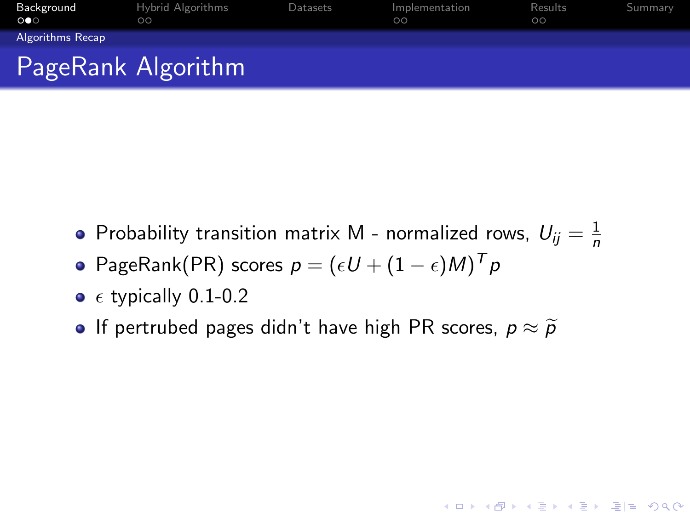<span id="page-2-0"></span>

| Background<br>$\circ \bullet \circ$ | Hybrid Algorithms<br>$\circ$ | Datasets | Implementation<br>$\circ$ | Results<br>$\circ$ | Summary |
|-------------------------------------|------------------------------|----------|---------------------------|--------------------|---------|
| Algorithms Recap                    |                              |          |                           |                    |         |
|                                     | PageRank Algorithm           |          |                           |                    |         |

Probability transition matrix M - normalized rows,  $U_{ij} = \frac{1}{n}$ n

KO K K (F K E K E K A E K A K K K K K K K K K

- PageRank(PR) scores  $p = (\epsilon U + (1-\epsilon)M)^T p$
- $\bullet$   $\epsilon$  typically 0.1-0.2
- If pertrubed pages didn't have high PR scores,  $p \approx \widetilde{p}$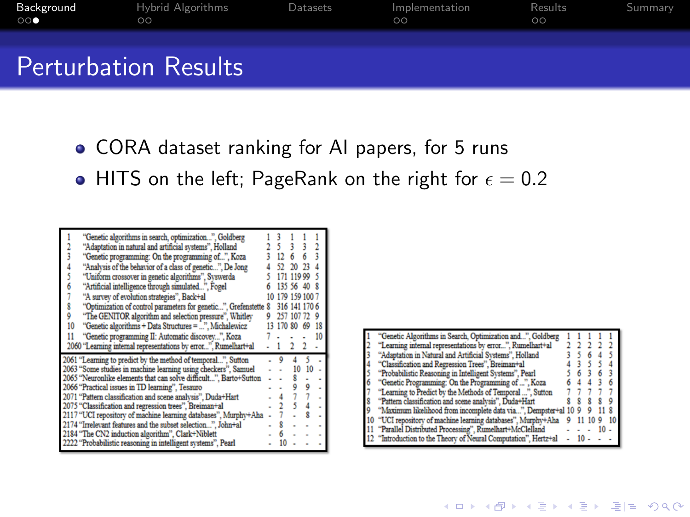| Background<br>$\circ\circ\bullet$ | Hybrid Algorithms<br>ററ     | Datasets | Implementation<br>$\circ$ | Results<br>ററ | Summary |
|-----------------------------------|-----------------------------|----------|---------------------------|---------------|---------|
|                                   | <b>Perturbation Results</b> |          |                           |               |         |

- CORA dataset ranking for AI papers, for 5 runs
- $\bullet$  HITS on the left; PageRank on the right for  $\epsilon = 0.2$

| "Genetic algorithms in search, optimization", Goldberg<br>"Adaptation in natural and artificial systems", Holland<br>"Genetic programming: On the programming of", Koza<br>"Analysis of the behavior of a class of genetic", De Jong<br>"Uniform crossover in genetic algorithms", Syswerda<br>"Artificial intelligence through simulated", Fogel<br>6<br>"A survey of evolution strategies", Back+al<br>S<br>"Optimization of control parameters for genetic", Grefenstette 8<br>ŷ<br>"The GENITOR algorithm and selection pressure", Whitley<br>"Genetic algorithms + Data Structures = ", Michalewicz<br>10<br>"Genetic programming II: Automatic discovey". Koza<br>11 | 135.56<br>170 80 | Ĵ٨<br>110 00<br>170 150 100<br>316 141<br>257 107 | 3<br>77<br>69 | 18<br>10 |
|----------------------------------------------------------------------------------------------------------------------------------------------------------------------------------------------------------------------------------------------------------------------------------------------------------------------------------------------------------------------------------------------------------------------------------------------------------------------------------------------------------------------------------------------------------------------------------------------------------------------------------------------------------------------------|------------------|---------------------------------------------------|---------------|----------|
| 2060 "Learning internal representations by error", Rumelhart+al                                                                                                                                                                                                                                                                                                                                                                                                                                                                                                                                                                                                            |                  |                                                   |               |          |
| 2061 "Learning to predict by the method of temporal", Sutton<br>2063 "Some studies in machine learning using checkers", Samuel<br>2065 "Neuronlike elements that can solve difficult", Barto+Sutton<br>2066 "Practical issues in TD learning", Tesauro<br>2071 "Pattern classification and scene analysis", Duda+Hart<br>2075 "Classification and regression trees", Breiman+al<br>2117 "UCI repository of machine learning databases", Murphy+Aha<br>2174 "Irrelevant features and the subset selection", John+al<br>2184 "The CN2 induction algorithm", Clark+Niblett<br>2222 "Probabilistic reasoning in intelligent systems", Pearl                                    | ٥                | 10                                                |               |          |

| "Genetic Algorithms in Search, Optimization and", Goldberg      |  |  |  |
|-----------------------------------------------------------------|--|--|--|
| "Learning internal representations by error", Rumelhart+al      |  |  |  |
| "Adaptation in Natural and Artificial Systems", Holland         |  |  |  |
| "Classification and Regression Trees", Breiman+al               |  |  |  |
| "Probabilistic Reasoning in Intelligent Systems", Pearl         |  |  |  |
| "Genetic Programming: On the Programming of ", Koza             |  |  |  |
| "Learning to Predict by the Methods of Temporal ", Sutton       |  |  |  |
| "Pattern classification and scene analysis", Duda+Hart          |  |  |  |
| "Maximum likelihood from incomplete data via", Dempster+al 10 9 |  |  |  |
| "UCI repository of machine learning databases", Murphy+Aha      |  |  |  |
| "Parallel Distributed Processing", Rumelhart+McClelland         |  |  |  |
| 12 "Introduction to the Theory of Neural Computation", Hertz+al |  |  |  |

K ロ > K @ > K 할 > K 할 > [할 = K) Q @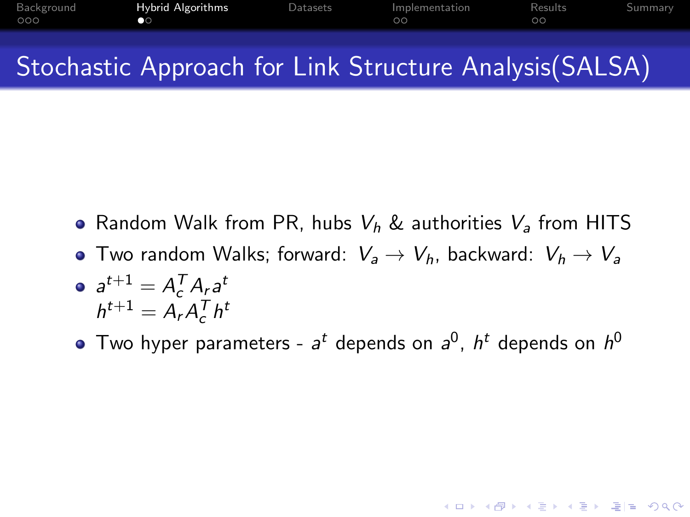<span id="page-4-0"></span>

| Background<br>000 | <b>Hybrid Algorithms</b><br>$\bullet$ | Datasets | Implementation<br>$\circ$ | Results<br>$\circ$ | Summary |
|-------------------|---------------------------------------|----------|---------------------------|--------------------|---------|
|                   |                                       |          |                           |                    |         |

## Stochastic Approach for Link Structure Analysis(SALSA)

- Random Walk from PR, hubs  $V_h$  & authorities  $V_a$  from HITS
- Two random Walks; forward:  $V_a \rightarrow V_h$ , backward:  $V_h \rightarrow V_a$

$$
\bullet \ \ a^{t+1} = A_c^T A_r a^t
$$

$$
h^{t+1} = A_r A_c^T h^t
$$

Two hyper parameters -  $a^t$  depends on  $a^0$ ,  $h^t$  depends on  $h^0$ 

KO K K (F K E K E K A E K A K K K K K K K K K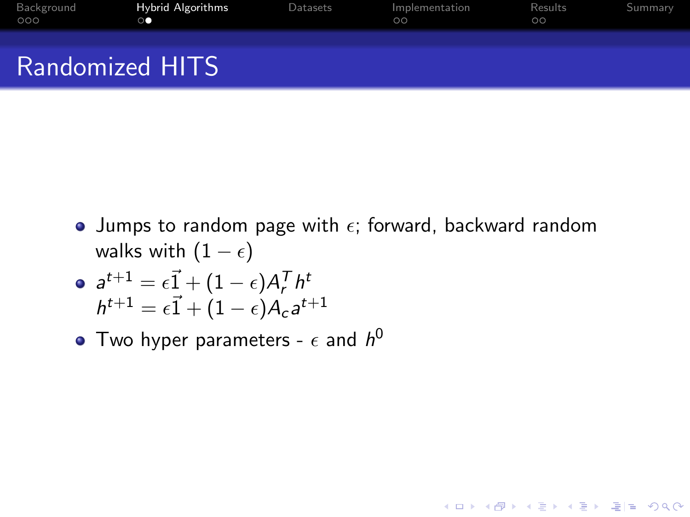<span id="page-5-0"></span>

| Background<br>000 | <b>Hybrid Algorithms</b><br>$\circ$ | Datasets | Implementation<br>$\circ$ | Results<br>$\circ$ | Summary |
|-------------------|-------------------------------------|----------|---------------------------|--------------------|---------|
|                   | <b>Randomized HITS</b>              |          |                           |                    |         |

• Jumps to random page with  $\epsilon$ ; forward, backward random walks with  $(1 - \epsilon)$ 

K ロ > K @ > K 할 > K 할 > [할 > 10 0 0 0

$$
a^{t+1} = \epsilon \vec{1} + (1 - \epsilon) A_r^T h^t
$$
  

$$
h^{t+1} = \epsilon \vec{1} + (1 - \epsilon) A_c a^{t+1}
$$

Two hyper parameters -  $\epsilon$  and  $h^0$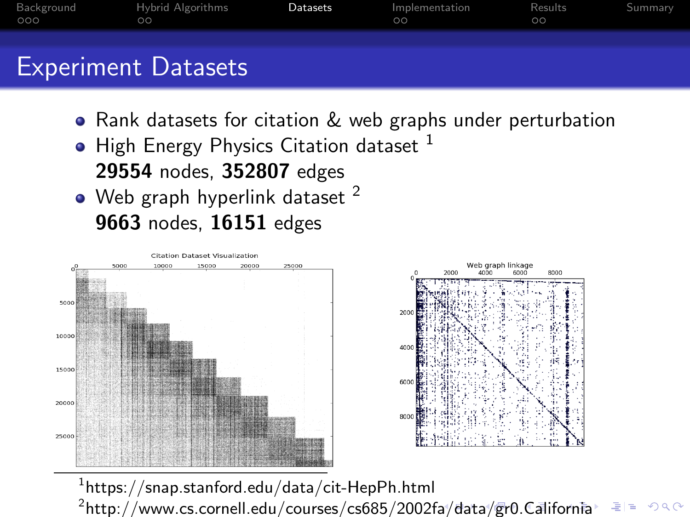<span id="page-6-0"></span>

| Background<br>000 | Hybrid Algorithms<br>ററ    | Datasets | Implementation<br>ററ | Results<br>$\circ$ | Summary |
|-------------------|----------------------------|----------|----------------------|--------------------|---------|
|                   | <b>Experiment Datasets</b> |          |                      |                    |         |

- Rank datasets for citation & web graphs under perturbation
- $\bullet$  High Energy Physics Citation dataset  $^1$ 29554 nodes, 352807 edges
- $\bullet$  Web graph hyperlink dataset  $^2$ 9663 nodes, 16151 edges



 $^{\rm 1}$ https://snap.stanford.edu/data/cit-HepPh.html

 $^2$ http://www.cs.cornell.edu/courses/cs685/2002f[a/d](#page-5-0)[at](#page-7-0)[a/](#page-5-0)[gr](#page-6-0)[0.](#page-7-0)[C](#page-5-0)[ali](#page-6-0)[fo](#page-7-0)[r](#page-5-0)[nia](#page-6-0)  $E|E \cap Q$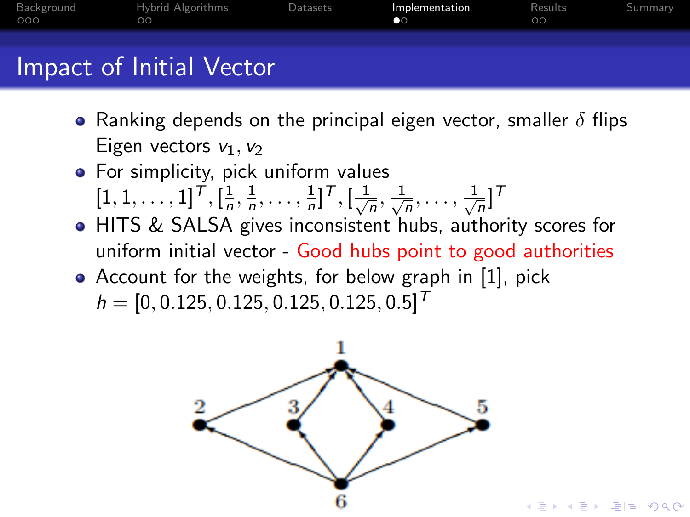<span id="page-7-0"></span>

| Background<br>000 | Hybrid Algorithms<br>ററ  | Datasets | Implementation<br>$\bullet$ | Results<br>ΩO | Summary |
|-------------------|--------------------------|----------|-----------------------------|---------------|---------|
|                   | Impact of Initial Vector |          |                             |               |         |

- Ranking depends on the principal eigen vector, smaller  $\delta$  flips Eigen vectors  $v_1$ ,  $v_2$
- **•** For simplicity, pick uniform values  $[1, 1, \ldots, 1]^T, [\frac{1}{n}]$  $\frac{1}{n}, \frac{1}{n}$  $\frac{1}{n}, \ldots, \frac{1}{n}$  $\frac{1}{n}]^{\mathcal{T}},[\frac{1}{\sqrt{2}}]$  $\frac{1}{n}, \frac{1}{\sqrt{n}}$  $\frac{1}{\overline{n}}, \ldots, \frac{1}{\sqrt{}}$  $\frac{1}{n}$ ]<sup>T</sup>
- HITS & SALSA gives inconsistent hubs, authority scores for uniform initial vector - Good hubs point to good authorities
- Account for the weights, for below graph in [\[1\]](#page-12-0), pick  $h = [0, 0.125, 0.125, 0.125, 0.125, 0.5]^T$



KE KA E KI E E YO QO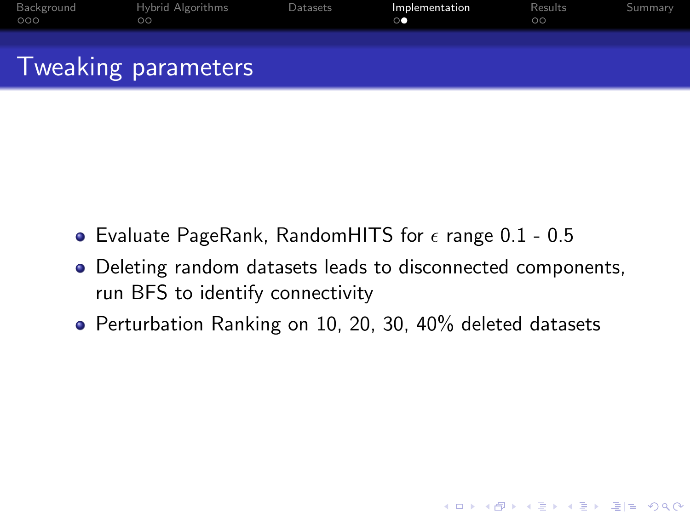| Background<br>000 | Hybrid Algorithms<br>$\circ$ | Datasets | Implementation | Results<br>$\circ$ | Summary |
|-------------------|------------------------------|----------|----------------|--------------------|---------|
|                   | Tweaking parameters          |          |                |                    |         |

- Evaluate PageRank, RandomHITS for  $\epsilon$  range 0.1 0.5
- Deleting random datasets leads to disconnected components, run BFS to identify connectivity

KO K K (F K E K E K A E K A K K K K K K K K K

• Perturbation Ranking on 10, 20, 30, 40% deleted datasets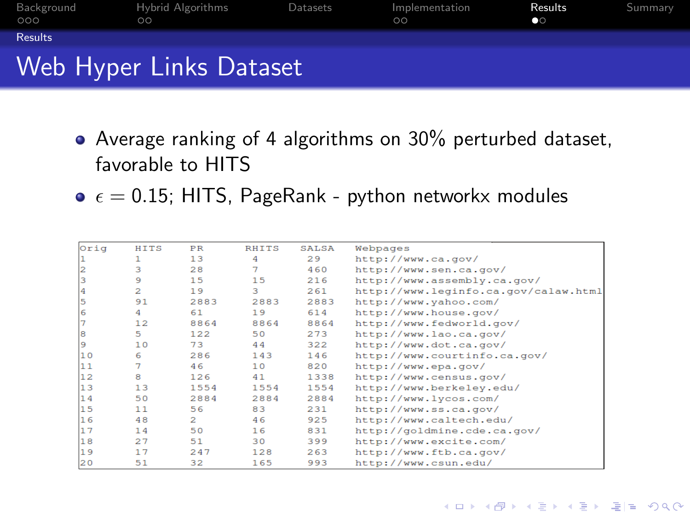<span id="page-9-0"></span>

| Background<br>000 | Hybrid Algorithms<br>ററ | Datasets | Implementation<br>ററ | Results<br>$\bullet$ | Summary |
|-------------------|-------------------------|----------|----------------------|----------------------|---------|
| <b>Results</b>    |                         |          |                      |                      |         |
|                   | Web Hyper Links Dataset |          |                      |                      |         |

- Average ranking of 4 algorithms on 30% perturbed dataset, favorable to HITS
- $\bullet$   $\epsilon$  = 0.15; HITS, PageRank python networkx modules

| Orig | <b>HITS</b>  | <b>PR</b>     | <b>RHITS</b> | SALSA | Webpages                             |
|------|--------------|---------------|--------------|-------|--------------------------------------|
|      | 1            | 13            | 4            | 29    | http://www.ca.gov/                   |
|      | з            | 28            |              | 460   | http://www.sen.ca.gov/               |
|      | ۹            | 15            | 15           | 216   | http://www.assembly.ca.gov/          |
| 4    | $\mathbf{z}$ | 19            | 3            | 261   | http://www.leginfo.ca.gov/calaw.html |
| 5    | 91           | 2883          | 2883         | 2883  | http://www.yahoo.com/                |
| 6    | 4            | 61            | 19           | 614   | http://www.house.gov/                |
|      | 12           | 8864          | 8864         | 8864  | http://www.fedworld.gov/             |
| 8    | 5.           | 122           | 50           | 273   | http://www.lao.ca.gov/               |
| 9    | 10           | 73            | 44           | 322   | http://www.dot.ca.gov/               |
| 10   | 6            | 286           | 143          | 146   | http://www.courtinfo.ca.gov/         |
| 11   |              | 46            | 10           | 820   | http://www.epa.gov/                  |
| 12   | 8            | 126           | 41           | 1338  | http://www.census.gov/               |
| 13   | 13           | 1554          | 1554         | 1554  | http://www.berkeley.edu/             |
| 14   | 50           | 2884          | 2884         | 2884  | http://www.lycos.com/                |
| 15   | 11           | 56            | 83           | 231   | http://www.ss.ca.gov/                |
| 16   | 48           | $\mathcal{L}$ | 46           | 925   | http://www.caltech.edu/              |
| 17   | 14           | 50            | 16           | 831   | http://goldmine.cde.ca.gov/          |
| 18   | 27           | 51            | 30           | 399   | http://www.excite.com/               |
| 19   | 17           | 247           | 128          | 263   | http://www.ftb.ca.gov/               |
| 20   | 51           | 32            | 165          | 993   | http://www.csun.edu/                 |

K ロ ▶ K @ ▶ K 할 X K 할 X [ 할 날 수 있다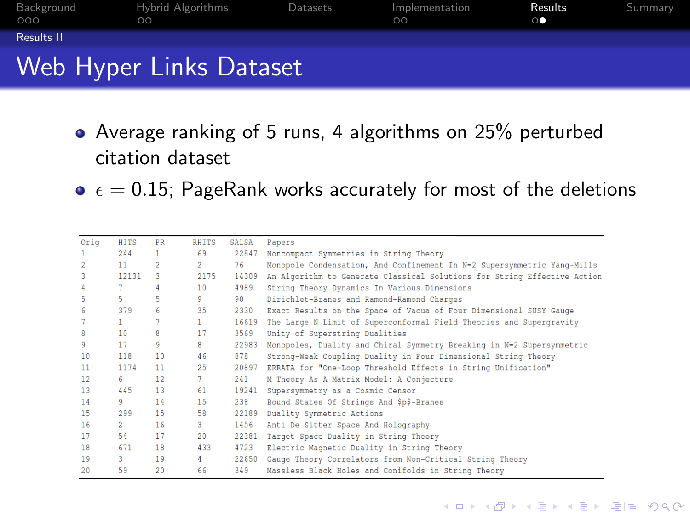<span id="page-10-0"></span>

| Background<br>000 | Hybrid Algorithms<br>$\circ$ | Datasets | Implementation<br>$\circ$ | Results<br>$\circ$ | Summary |
|-------------------|------------------------------|----------|---------------------------|--------------------|---------|
| Results II        |                              |          |                           |                    |         |
|                   | Web Hyper Links Dataset      |          |                           |                    |         |

- Average ranking of 5 runs, 4 algorithms on 25% perturbed citation dataset
- $\bullet$   $\epsilon$  = 0.15; PageRank works accurately for most of the deletions

| Orig | <b>HITS</b>     | <b>PR</b>       | <b>RHITS</b>    | <b>SALSA</b> | Papers                                                                   |
|------|-----------------|-----------------|-----------------|--------------|--------------------------------------------------------------------------|
|      | 244             | $\mathbf{1}$    | 69              | 22847        | Noncompact Symmetries in String Theory                                   |
|      | 11 <sup>1</sup> | $\overline{2}$  | 2 <sup>1</sup>  | 76           | Monopole Condensation, And Confinement In N=2 Supersymmetric Yang-Mills  |
| 3    | 12131           | з               | 2175            | 14309        | An Algorithm to Generate Classical Solutions for String Effective Action |
| 4    |                 | 4               | 10              | 4989         | String Theory Dynamics In Various Dimensions                             |
|      | 5.              | 5               | 9.              | 90           | Dirichlet-Branes and Ramond-Ramond Charges                               |
| 6    | 379             | 6               | 35              | 2330         | Exact Results on the Space of Vacua of Four Dimensional SUSY Gauge       |
|      |                 | 7               | $\mathbf{1}$    | 16619        | The Large N Limit of Superconformal Field Theories and Supergravity      |
| 8    | 10              | a               | 17              | 3569         | Unity of Superstring Dualities                                           |
| 9    | 17              | 9               | 8               | 22983        | Monopoles, Duality and Chiral Symmetry Breaking in N=2 Supersymmetric    |
| 10   | 118             | 10              | 46              | 878          | Strong-Weak Coupling Duality in Four Dimensional String Theory           |
| 11   | 1174            | 11              | 25              | 20897        | ERRATA for "One-Loop Threshold Effects in String Unification"            |
| 12   | 6.              | 12 <sup>°</sup> | $\mathcal{I}$   | 241          | M Theory As A Matrix Model: A Conjecture                                 |
| 13   | 445             | 13              | 61              | 19241        | Supersymmetry as a Cosmic Censor                                         |
| 14   | 9.              | 14              | 15              | 238          | Bound States Of Strings And \$p\$-Branes                                 |
| 15   | 299             | 15              | 58              | 22189        | Duality Symmetric Actions                                                |
| 16   | $\overline{2}$  | 16              | $\overline{3}$  | 1456         | Anti De Sitter Space And Holography                                      |
| 17   | 54              | 17              | 20 <sup>°</sup> | 22381        | Target Space Duality in String Theory                                    |
| 18   | 671             | 18              | 433             | 4723         | Electric Magnetic Duality in String Theory                               |
| 19   | $\overline{3}$  | 19              | 4               | 22650        | Gauge Theory Correlators from Non-Critical String Theory                 |
| 20   | 59              | 20              | 66              | 349          | Massless Black Holes and Conifolds in String Theory                      |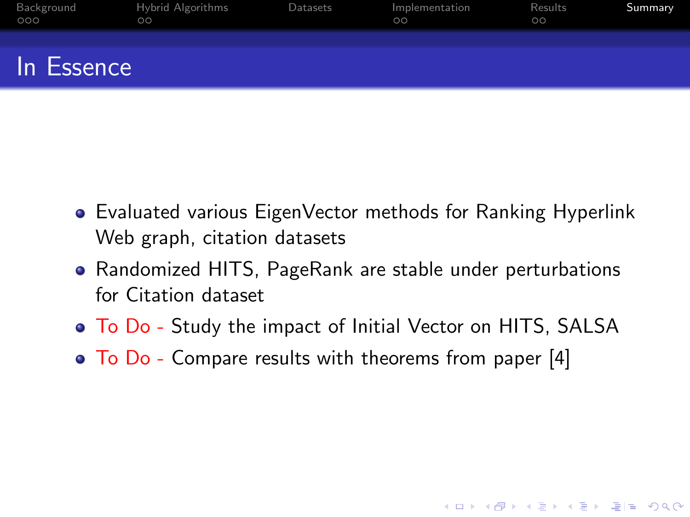<span id="page-11-0"></span>

| Background<br>000 | Hybrid Algorithms<br>$\circ$ | Datasets | Implementation<br>$\circ$ | Results<br>$\circ$ | Summary |
|-------------------|------------------------------|----------|---------------------------|--------------------|---------|
| In Essence        |                              |          |                           |                    |         |

- Evaluated various EigenVector methods for Ranking Hyperlink Web graph, citation datasets
- Randomized HITS, PageRank are stable under perturbations for Citation dataset
- To Do Study the impact of Initial Vector on HITS, SALSA

KO K K (F K E K E K A E K A K K K K K K K K K

• To Do - Compare results with theorems from paper [\[4\]](#page-13-0)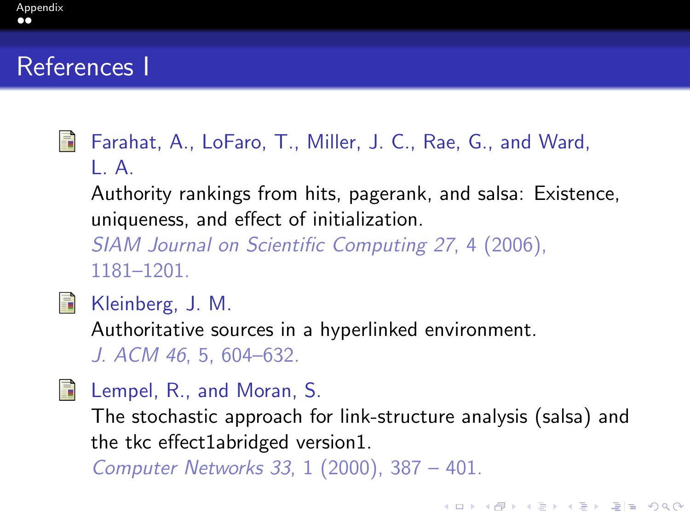## <span id="page-12-1"></span>[Appendix](#page-12-1)

## References I

- <span id="page-12-0"></span>暈 Farahat, A., LoFaro, T., Miller, J. C., Rae, G., and Ward,  $\mathsf{L}$ 
	- Authority rankings from hits, pagerank, and salsa: Existence, uniqueness, and effect of initialization.
	- SIAM Journal on Scientific Computing 27, 4 (2006), 1181–1201.
- 量
- Kleinberg, J. M.
- Authoritative sources in a hyperlinked environment. J. ACM 46, 5, 604–632.
- F
- Lempel, R., and Moran, S.
	- The stochastic approach for link-structure analysis (salsa) and the tkc effect1abridged version1.
- Computer Networks 33, 1 (2000), 387 401.